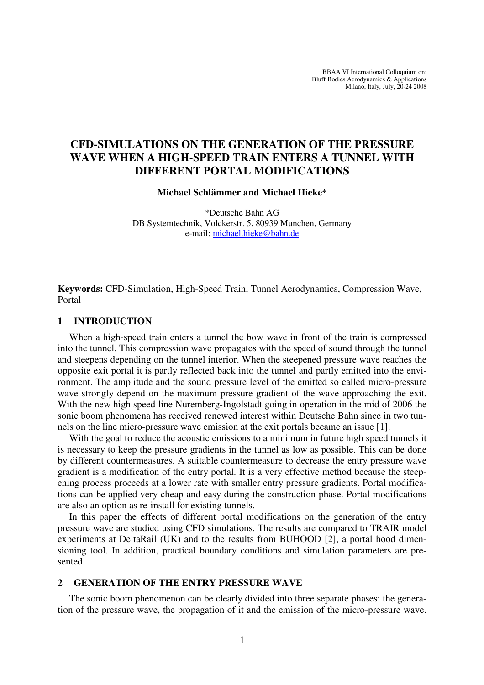BBAA VI International Colloquium on: Bluff Bodies Aerodynamics & Applications Milano, Italy, July, 20-24 2008

# **CFD-SIMULATIONS ON THE GENERATION OF THE PRESSURE WAVE WHEN A HIGH-SPEED TRAIN ENTERS A TUNNEL WITH DIFFERENT PORTAL MODIFICATIONS**

## **Michael Schlämmer and Michael Hieke\***

\*Deutsche Bahn AG DB Systemtechnik, Völckerstr. 5, 80939 München, Germany e-mail: michael.hieke@bahn.de

**Keywords:** CFD-Simulation, High-Speed Train, Tunnel Aerodynamics, Compression Wave, Portal

#### **1 INTRODUCTION**

When a high-speed train enters a tunnel the bow wave in front of the train is compressed into the tunnel. This compression wave propagates with the speed of sound through the tunnel and steepens depending on the tunnel interior. When the steepened pressure wave reaches the opposite exit portal it is partly reflected back into the tunnel and partly emitted into the environment. The amplitude and the sound pressure level of the emitted so called micro-pressure wave strongly depend on the maximum pressure gradient of the wave approaching the exit. With the new high speed line Nuremberg-Ingolstadt going in operation in the mid of 2006 the sonic boom phenomena has received renewed interest within Deutsche Bahn since in two tunnels on the line micro-pressure wave emission at the exit portals became an issue [1].

With the goal to reduce the acoustic emissions to a minimum in future high speed tunnels it is necessary to keep the pressure gradients in the tunnel as low as possible. This can be done by different countermeasures. A suitable countermeasure to decrease the entry pressure wave gradient is a modification of the entry portal. It is a very effective method because the steepening process proceeds at a lower rate with smaller entry pressure gradients. Portal modifications can be applied very cheap and easy during the construction phase. Portal modifications are also an option as re-install for existing tunnels.

In this paper the effects of different portal modifications on the generation of the entry pressure wave are studied using CFD simulations. The results are compared to TRAIR model experiments at DeltaRail (UK) and to the results from BUHOOD [2], a portal hood dimensioning tool. In addition, practical boundary conditions and simulation parameters are presented.

### **2 GENERATION OF THE ENTRY PRESSURE WAVE**

The sonic boom phenomenon can be clearly divided into three separate phases: the generation of the pressure wave, the propagation of it and the emission of the micro-pressure wave.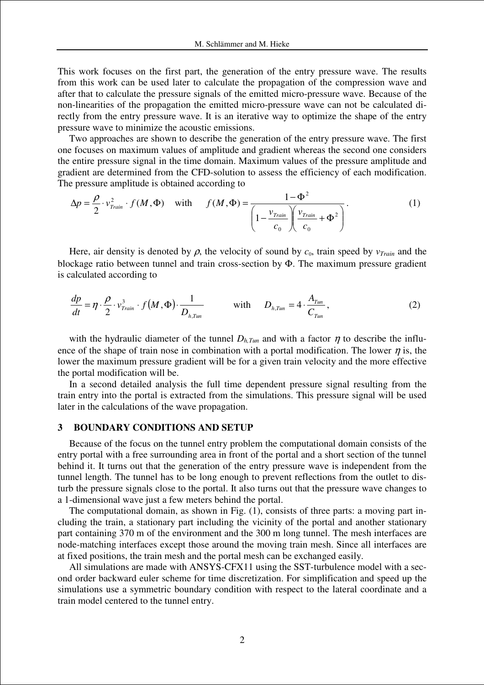This work focuses on the first part, the generation of the entry pressure wave. The results from this work can be used later to calculate the propagation of the compression wave and after that to calculate the pressure signals of the emitted micro-pressure wave. Because of the non-linearities of the propagation the emitted micro-pressure wave can not be calculated directly from the entry pressure wave. It is an iterative way to optimize the shape of the entry pressure wave to minimize the acoustic emissions.

Two approaches are shown to describe the generation of the entry pressure wave. The first one focuses on maximum values of amplitude and gradient whereas the second one considers the entire pressure signal in the time domain. Maximum values of the pressure amplitude and gradient are determined from the CFD-solution to assess the efficiency of each modification. The pressure amplitude is obtained according to

$$
\Delta p = \frac{\rho}{2} \cdot v_{\text{Train}}^2 \cdot f(M, \Phi) \quad \text{with} \quad f(M, \Phi) = \frac{1 - \Phi^2}{\left(1 - \frac{v_{\text{Train}}}{c_0}\right)\left(\frac{v_{\text{Train}}}{c_0} + \Phi^2\right)}.
$$
 (1)

Here, air density is denoted by  $\rho$ , the velocity of sound by  $c_0$ , train speed by  $v_{Train}$  and the blockage ratio between tunnel and train cross-section by Φ. The maximum pressure gradient is calculated according to

$$
\frac{dp}{dt} = \eta \cdot \frac{\rho}{2} \cdot v_{\text{train}}^3 \cdot f(M, \Phi) \cdot \frac{1}{D_{h, \text{Turn}}} \qquad \text{with} \qquad D_{h, \text{Turn}} = 4 \cdot \frac{A_{\text{Turn}}}{C_{\text{Turn}}}, \tag{2}
$$

with the hydraulic diameter of the tunnel  $D_{h,Tun}$  and with a factor  $\eta$  to describe the influence of the shape of train nose in combination with a portal modification. The lower  $\eta$  is, the lower the maximum pressure gradient will be for a given train velocity and the more effective the portal modification will be.

In a second detailed analysis the full time dependent pressure signal resulting from the train entry into the portal is extracted from the simulations. This pressure signal will be used later in the calculations of the wave propagation.

#### **3 BOUNDARY CONDITIONS AND SETUP**

Because of the focus on the tunnel entry problem the computational domain consists of the entry portal with a free surrounding area in front of the portal and a short section of the tunnel behind it. It turns out that the generation of the entry pressure wave is independent from the tunnel length. The tunnel has to be long enough to prevent reflections from the outlet to disturb the pressure signals close to the portal. It also turns out that the pressure wave changes to a 1-dimensional wave just a few meters behind the portal.

The computational domain, as shown in Fig. (1), consists of three parts: a moving part including the train, a stationary part including the vicinity of the portal and another stationary part containing 370 m of the environment and the 300 m long tunnel. The mesh interfaces are node-matching interfaces except those around the moving train mesh. Since all interfaces are at fixed positions, the train mesh and the portal mesh can be exchanged easily.

All simulations are made with ANSYS-CFX11 using the SST-turbulence model with a second order backward euler scheme for time discretization. For simplification and speed up the simulations use a symmetric boundary condition with respect to the lateral coordinate and a train model centered to the tunnel entry.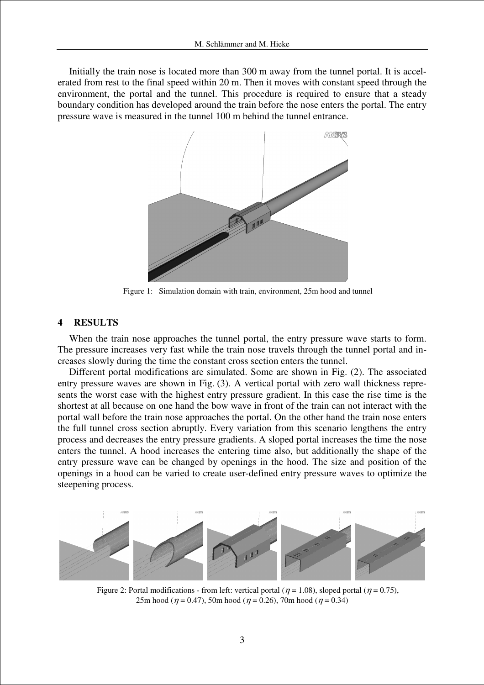Initially the train nose is located more than 300 m away from the tunnel portal. It is accelerated from rest to the final speed within 20 m. Then it moves with constant speed through the environment, the portal and the tunnel. This procedure is required to ensure that a steady boundary condition has developed around the train before the nose enters the portal. The entry pressure wave is measured in the tunnel 100 m behind the tunnel entrance.



Figure 1: Simulation domain with train, environment, 25m hood and tunnel

#### **4 RESULTS**

When the train nose approaches the tunnel portal, the entry pressure wave starts to form. The pressure increases very fast while the train nose travels through the tunnel portal and increases slowly during the time the constant cross section enters the tunnel.

Different portal modifications are simulated. Some are shown in Fig. (2). The associated entry pressure waves are shown in Fig. (3). A vertical portal with zero wall thickness represents the worst case with the highest entry pressure gradient. In this case the rise time is the shortest at all because on one hand the bow wave in front of the train can not interact with the portal wall before the train nose approaches the portal. On the other hand the train nose enters the full tunnel cross section abruptly. Every variation from this scenario lengthens the entry process and decreases the entry pressure gradients. A sloped portal increases the time the nose enters the tunnel. A hood increases the entering time also, but additionally the shape of the entry pressure wave can be changed by openings in the hood. The size and position of the openings in a hood can be varied to create user-defined entry pressure waves to optimize the steepening process.



Figure 2: Portal modifications - from left: vertical portal ( $\eta = 1.08$ ), sloped portal ( $\eta = 0.75$ ), 25m hood ( $\eta$  = 0.47), 50m hood ( $\eta$  = 0.26), 70m hood ( $\eta$  = 0.34)